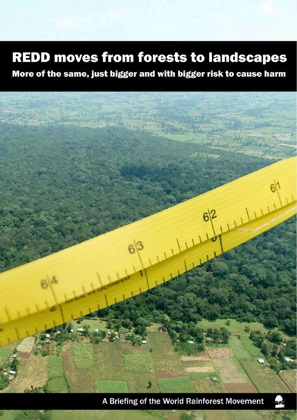# **REDD moves from forests to landscapes**

More of the same, just bigger and with bigger risk to cause harm



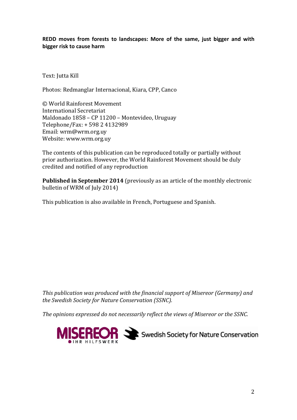**REDD moves from forests to landscapes: More of the same, just bigger and with bigger risk to cause harm** 

Text: Jutta Kill

Photos: Redmanglar Internacional, Kiara, CPP, Canco

© World Rainforest Movement International Secretariat Maldonado 1858 – CP 11200 – Montevideo, Uruguay Telephone/Fax: + 598 2 4132989 Email: wrm@wrm.org.uy Website: www.wrm.org.uy

The contents of this publication can be reproduced totally or partially without prior authorization. However, the World Rainforest Movement should be duly credited and notified of any reproduction

**Published in September 2014** (previously as an article of the monthly electronic bulletin of WRM of July 2014)

This publication is also available in French, Portuguese and Spanish.

*This publication was produced with the financial support of Misereor (Germany) and the Swedish Society for Nature Conservation (SSNC).* 

*The opinions expressed do not necessarily reflect the views of Misereor or the SSNC.* 

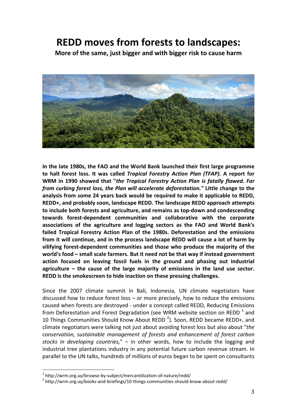## **REDD moves from forests to landscapes:**

**More of the same, just bigger and with bigger risk to cause harm**



**In the late 1980s, the FAO and the World Bank launched their first large programme to halt forest loss. It was called** *Tropical Forestry Action Plan (TFAP).* **A report for WRM in 1990 showed that "***the Tropical Forestry Action Plan is fatally flawed. Far from curbing forest loss, the Plan will accelerate deforestation."* **Little change to the analysis from some 24 years back would be required to make it applicable to REDD, REDD+, and probably soon, landscape REDD. The landscape REDD approach attempts to include both forests and agriculture, and remains as top‐down and condescending towards forest‐dependent communities and collaborative with the corporate associations of the agriculture and logging sectors as the FAO and World Bank's failed Tropical Forestry Action Plan of the 1980s. Deforestation and the emissions from it will continue, and in the process landscape REDD will cause a lot of harm by vilifying forest‐dependent communities and those who produce the majority of the world's food – small scale farmers. But it need not be that way if instead government action focused on leaving fossil fuels in the ground and phasing out industrial agriculture – the cause of the large majority of emissions in the land use sector. REDD is the smokescreen to hide inaction on these pressing challenges.**

Since the 2007 climate summit in Bali, Indonesia, UN climate negotiators have discussed how to reduce forest loss – or more precisely, how to reduce the emissions caused when forests are destroyed ‐ under a concept called REDD, Reducing Emissions from Deforestation and Forest Degradation (see WRM website section on REDD  $<sup>1</sup>$  and</sup> 10 Things Communities Should Know About REDD<sup>2</sup>). Soon, REDD became REDD+, and climate negotiators were talking not just about avoiding forest loss but also about "*the conservation, sustainable management of forests and enhancement of forest carbon stocks in developing countries,*" – in other words, how to include the logging and industrial tree plantations industry in any potential future carbon revenue stream. In parallel to the UN talks, hundreds of millions of euros began to be spent on consultants

<sup>&</sup>lt;sup>1</sup> http://wrm.org.uy/browse-by-subject/mercantilization-of-nature/redd/<br><sup>2</sup> http://wrm.org.uy/books-and-briefings/10-things-communities-should-know-about-redd/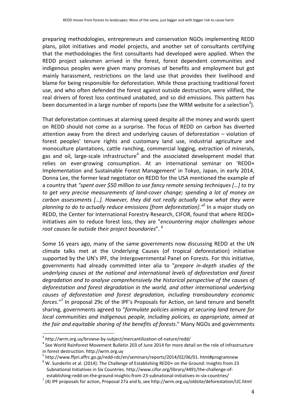preparing methodologies, entrepreneurs and conservation NGOs implementing REDD plans, pilot initiatives and model projects, and another set of consultants certifying that the methodologies the first consultants had developed were applied. When the REDD project salesmen arrived in the forest, forest dependent communities and indigenous peoples were given many promises of benefits and employment but got mainly harassment, restrictions on the land use that provides their livelihood and blame for being responsible for deforestation. While those practising traditional forest use, and who often defended the forest against outside destruction, were vilified, the real drivers of forest loss continued unabated, and so did emissions. This pattern has been documented in a large number of reports (see the WRM website for a selection<sup>3</sup>).

That deforestation continues at alarming speed despite all the money and words spent on REDD should not come as a surprise. The focus of REDD on carbon has diverted attention away from the direct and underlying causes of deforestation – violation of forest peoples' tenure rights and customary land use, industrial agriculture and monoculture plantations, cattle ranching, commercial logging, extraction of minerals, gas and oil, large-scale infrastructure<sup>4</sup> and the associated development model that relies on ever-growing consumption. At an international seminar on 'REDD+ Implementation and Sustainable Forest Management' in Tokyo, Japan, in early 2014, Donna Lee, the former lead negotiator on REDD for the USA mentioned the example of a country that *"spent over \$50 million to use fancy remote sensing techniques […] to try to get very precise measurements of land‐cover change; spending a lot of money on carbon assessments […]. However, they did not really actually know what they were planning to do to actually reduce emissions [from deforestation]*.*" <sup>5</sup>* In a major study on REDD, the Center for International Forestry Research, CIFOR, found that where REDD+ initiatives aim to reduce forest loss, they are "*encountering major challenges whose root causes lie outside their project boundaries*". <sup>6</sup>

Some 16 years ago, many of the same governments now discussing REDD at the UN climate talks met at the Underlying Causes (of tropical deforestation) initiative supported by the UN's IPF, the Intergovernmental Panel on Forests. For this initiative, governments had already committed inter alia to "*prepare in‐depth studies of the underlying causes at the national and international levels of deforestation and forest degradation and to analyse comprehensively the historical perspective of the causes of deforestation and forest degradation in the world, and other international underlying causes of deforestation and forest degradation, including transboundary economic forces*."7 In proposal 29c of the IPF's Proposals for Action, on land tenure and benefit sharing, governments agreed to "*formulate policies aiming at securing land tenure for local communities and indigenous people, including policies, as appropriate, aimed at the fair and equitable sharing of the benefits of forests*." Many NGOs and governments

 $3$  http://wrm.org.uy/browse-by-subject/mercantilization-of-nature/redd/<br> $4$  See World Rainforest Movement Bulletin 203 of June 2014 for more detail on the role of infrastructure

in forest destruction. http://wrm.org.uy<br><sup>5</sup> http://www.ffpri.affrc.go.jp/redd-rdc/en/seminars/reports/2014/02/06/01. html#programnew<br><sup>6</sup> W. Sunderlin et al. (2014): The Challenge of Establishing REDD+ on the Ground: Insig Subnational Initiatives in Six Countries. http://www.cifor.org/library/4491/the‐challenge‐of‐

establishing-redd-on-the-ground-insights-from-23-subnational-initiatives-in-six-countries/<br><sup>7</sup> (4) IPF proposals for action, Proposal 27a and b, see http://wrm.org.uy/oldsite/deforestation/UC.html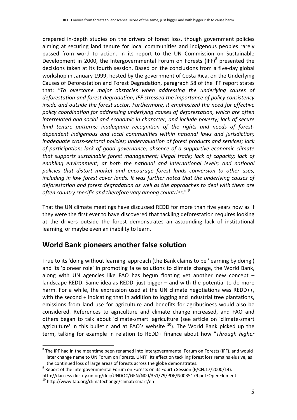prepared in‐depth studies on the drivers of forest loss, though government policies aiming at securing land tenure for local communities and indigenous peoples rarely passed from word to action. In its report to the UN Commission on Sustainable Development in 2000, the Intergovernmental Forum on Forests (IFF) $^8$  presented the decisions taken at its fourth session. Based on the conclusions from a five‐day global workshop in January 1999, hosted by the government of Costa Rica, on the Underlying Causes of Deforestation and Forest Degradation, paragraph 58 of the IFF report states that: *"To overcome major obstacles when addressing the underlying causes of deforestation and forest degradation, IFF stressed the importance of policy consistency inside and outside the forest sector. Furthermore, it emphasized the need for effective policy coordination for addressing underlying causes of deforestation, which are often interrelated and social and economic in character, and include poverty; lack of secure land tenure patterns; inadequate recognition of the rights and needs of forest‐ dependent indigenous and local communities within national laws and jurisdiction; inadequate cross‐sectoral policies; undervaluation of forest products and services; lack of participation; lack of good governance; absence of a supportive economic climate that supports sustainable forest management; illegal trade; lack of capacity; lack of enabling environment, at both the national and international levels; and national policies that distort market and encourage forest lands conversion to other uses, including in low forest cover lands. It was further noted that the underlying causes of deforestation and forest degradation as well as the approaches to deal with them are often country specific and therefore vary among countries*." <sup>9</sup>

That the UN climate meetings have discussed REDD for more than five years now as if they were the first ever to have discovered that tackling deforestation requires looking at the drivers outside the forest demonstrates an astounding lack of institutional learning, or maybe even an inability to learn.

## **World Bank pioneers another false solution**

True to its 'doing without learning' approach (the Bank claims to be 'learning by doing') and its 'pioneer role' in promoting false solutions to climate change, the World Bank, along with UN agencies like FAO has begun floating yet another new concept – landscape REDD. Same idea as REDD, just bigger – and with the potential to do more harm. For a while, the expression used at the UN climate negotiations was REDD++, with the second + indicating that in addition to logging and industrial tree plantations, emissions from land use for agriculture and benefits for agribusiness would also be considered. References to agriculture and climate change increased, and FAO and others began to talk about 'climate‐smart' agriculture (see article on 'climate‐smart agriculture' in this bulletin and at FAO's website  $10$ ). The World Bank picked up the term, talking for example in relation to REDD+ finance about how "*Through higher*

 $8$  The IPF had in the meantime been renamed into Intergovernmental Forum on Forests (IFF), and would later change name to UN Forum on Forests, UNFF. Its effect on tackling forest loss remains elusive, as

the continued loss of large areas of forests across the globe demonstrates.<br><sup>9</sup> Report of the Intergovernmental Forum on Forests on its Fourth Session (E/CN.17/2000/14).

http://daccess‐dds‐ny.un.org/doc/UNDOC/GEN/N00/351/79/PDF/N0035179.pdf?OpenElement <sup>10</sup> http://www.fao.org/climatechange/climatesmart/en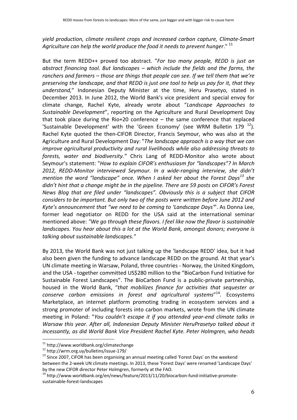#### *yield production, climate resilient crops and increased carbon capture, Climate‐Smart Agriculture can help the world produce the food it needs to prevent hunger*." <sup>11</sup>

But the term REDD++ proved too abstract. "*For too many people, REDD is just an abstract financing tool. But landscapes – which include the fields and the farms, the ranchers and farmers – those are things that people can see. If we tell them that we're preserving the landscape, and that REDD is just one tool to help us pay for it, that they understand,*" Indonesian Deputy Minister at the time, Heru Prasetyo, stated in December 2013. In June 2012, the World Bank's vice president and special envoy for climate change, Rachel Kyte, already wrote about "*Landscape Approaches to Sustainable Development*", reporting on the Agriculture and Rural Development Day that took place during the Rio+20 conference – the same conference that replaced 'Sustainable Development' with the 'Green Economy' (see WRM Bulletin 179<sup>12</sup>). Rachel Kyte quoted the then-CIFOR Director, Francis Seymour, who was also at the Agriculture and Rural Development Day: "*The landscape approach is a way that we can improve agricultural productivity and rural livelihoods while also addressing threats to forests, water and biodiversity."* Chris Lang of REDD‐Monitor also wrote about Seymour's statement: "*How to explain CIFOR's enthusiasm for "landscapes"? In March 2012, REDD‐Monitor interviewed Seymour. In a wide‐ranging interview, she didn't mention the word "landscape" once. When I asked her about the Forest Days<sup>13</sup> she didn't hint that a change might be in the pipeline. There are 59 posts on CIFOR's Forest News Blog that are filed under "landscapes". Obviously this is a subject that CIFOR considers to be important. But only two of the posts were written before June 2012 and Kyte's announcement that "we need to be coming to 'Landscape Days'*". As Donna Lee, former lead negotiator on REDD for the USA said at the international seminar mentioned above: *"We go through these flavors. I feel like now the flavor is sustainable landscapes. You hear about this a lot at the World Bank, amongst donors; everyone is talking about sustainable landscapes."*

By 2013, the World Bank was not just talking up the 'landscape REDD' idea, but it had also been given the funding to advance landscape REDD on the ground. At that year's UN climate meeting in Warsaw, Poland, three countries ‐ Norway, the United Kingdom, and the USA ‐ together committed US\$280 million to the "BioCarbon Fund Initiative for Sustainable Forest Landscapes". The BioCarbon Fund is a public‐private partnership, housed in the World Bank, "*that mobilizes finance for activities that sequester or conserve carbon emissions in forest and agricultural systems*" <sup>14</sup>*.* Ecosystems Marketplace, an internet platform promoting trading in ecosystem services and a strong promoter of including forests into carbon markets, wrote from the UN climate meeting in Poland: "*You couldn't escape it if you attended year‐end climate talks in Warsaw this year. After all, Indonesian Deputy Minister HeruPrasetyo talked about it incessantly, as did World Bank Vice President Rachel Kyte. Peter Holmgren, who heads*

<sup>&</sup>lt;sup>11</sup> http://www.worldbank.org/climatechange<br><sup>12</sup> http://wrm.org.uy/bulletins/issue-179/<br><sup>13</sup> Since 2007, CIFOR has been organising an annual meeting called 'Forest Days' on the weekend between the 2‐week UN climate meetings. In 2013, these 'Forest Days' were renamed 'Landscape Days' by the new CIFOR director Peter Holmgren, formerly at the FAO.<br><sup>14</sup> http://www.worldbank.org/en/news/feature/2013/11/20/biocarbon-fund-initiative-promote-

sustainable‐forest‐landscapes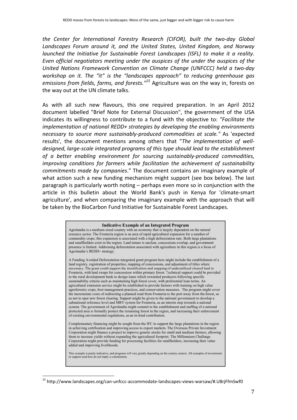*the Center for International Forestry Research (CIFOR), built the two‐day Global Landscapes Forum around it, and the United States, United Kingdom, and Norway launched the Initiative for Sustainable Forest Landscapes (ISFL) to make it a reality. Even official negotiators meeting under the auspices of the under the auspices of the United Nations Framework Convention on Climate Change (UNFCCC) held a two‐day workshop on it. The "it" is the "landscapes approach" to reducing greenhouse gas emissions from fields, farms, and forests."15* Agriculture was on the way in, forests on the way out at the UN climate talks.

As with all such new flavours, this one required preparation. In an April 2012 document labelled "Brief Note for External Discussion", the government of the USA indicates its willingness to contribute to a fund with the objective to: *"Facilitate the implementation of national REDD+ strategies by developing the enabling environments necessary to source more sustainably‐produced commodities at scale."* As 'expected results', the document mentions among others that "*The implementation of well‐ designed, large‐scale integrated programs of this type should lead to the establishment of a better enabling environment for sourcing sustainably‐produced commodities, improving conditions for farmers while facilitation the achievement of sustainability commitments made by companies*." The document contains an imaginary example of what action such a new funding mechanism might support (see box below). The last paragraph is particularly worth noting – perhaps even more so in conjunction with the article in this bulletin about the World Bank's push in Kenya for 'climate‐smart agriculture', and when comparing the imaginary example with the approach that will be taken by the BioCarbon Fund Initiative for Sustainable Forest Landscapes.

#### **Indicative Example of an Integrated Program**

Agrolandia is a medium-sized country with an economy that is largely dependent on the natural resource sector. The Fronteria region is an area of rapid agricultural expansion for a number of commodity crops; this expansion is associated with a high deforestation rate. Both large plantations and smallholders exist in the region. Land tenure is unclear, concessions overlap, and government presence is limited. Addressing deforestation associated with agriculture in this region is a focus of Agrolandia's REDD+ strategy.

A Funding Avoided Deforestation integrated grant program here might include the establishment of a land registry, registration of properties, mapping of concessions, and adjustment of titles where necessary. The grant could support the identification and mapping of underutilized cleared land in Fronteria, with land swaps for concessions within primary forest. Technical support could be provided to the rural development bank to design loans which rewarded producers following specific sustainability criteria such as maintaining high forest cover, with preferential loan terms. An agricultural extension service might be established to provide farmers with training on high value agroforestry crops, best management practices, and conservation measures. The program might cover the incremental costs of redirecting a planned road from Fronteria to the port away from the forest, so as not to spur new forest clearing. Support might be given to the national government to develop a subnational reference level and MRV system for Fronteria, as an interim step towards a national system. The government of Agrolandia might commit to the establishment and staffing of a national protected area to formally protect the remaining forest in the region, and increasing their enforcement of existing environmental regulations, as an in-kind contribution.

Complementary financing might be sought from the IFC to support the large plantations in the region in achieving certification and improving access to export markets. The Overseas Private Investment Corporation might finance a project to improve genetic stocks for small and medium farmers, allowing them to increase yields without expanding the agricultural footprint. The Millennium Challenge Corporation might provide funding for processing facilities for smallholders, increasing their value added and improving livelihoods.

This example is purely indicative, and programs will vary greatly depending on the country context. All examples of investments support used here do not imply a commitment.

<sup>15</sup> http://www.landscapes.org/can‐unfccc‐accommodate‐landscapes‐views‐warsaw/#.U8rjFfmSwf0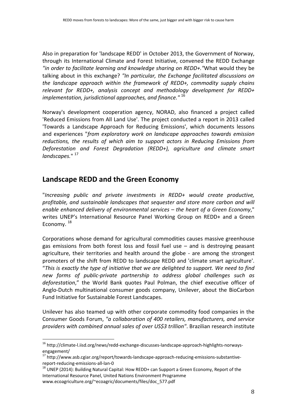Also in preparation for 'landscape REDD' in October 2013, the Government of Norway, through its International Climate and Forest Initiative, convened the REDD Exchange *"in order to facilitate learning and knowledge sharing on REDD+."*What would they be talking about in this exchange? *"In particular, the Exchange facilitated discussions on the landscape approach within the framework of REDD+, commodity supply chains relevant for REDD+, analysis concept and methodology development for REDD+ implementation, jurisdictional approaches, and finance."* <sup>16</sup>

Norway's development cooperation agency, NORAD, also financed a project called 'Reduced Emissions from All Land Use'. The project conducted a report in 2013 called 'Towards a Landscape Approach for Reducing Emissions', which documents lessons and experiences "*from exploratory work on landscape approaches towards emission reductions, the results of which aim to support actors in Reducing Emissions from Deforestation and Forest Degradation (REDD+), agriculture and climate smart landscapes.*" <sup>17</sup>

## **Landscape REDD and the Green Economy**

"*Increasing public and private investments in REDD+ would create productive, profitable, and sustainable landscapes that sequester and store more carbon and will enable enhanced delivery of environmental services – the heart of a Green Economy*," writes UNEP's International Resource Panel Working Group on REDD+ and a Green Economy.<sup>18</sup>

Corporations whose demand for agricultural commodities causes massive greenhouse gas emissions from both forest loss and fossil fuel use – and is destroying peasant agriculture, their territories and health around the globe - are among the strongest promoters of the shift from REDD to landscape REDD and 'climate smart agriculture'. "*This is exactly the type of initiative that we are delighted to support. We need to find new forms of public‐private partnership to address global challenges such as deforestation*," the World Bank quotes Paul Polman, the chief executive officer of Anglo‐Dutch multinational consumer goods company, Unilever, about the BioCarbon Fund Initiative for Sustainable Forest Landscapes.

Unilever has also teamed up with other corporate commodity food companies in the Consumer Goods Forum, *"a collaboration of 400 retailers, manufacturers, and service providers with combined annual sales of over US\$3 trillion"*. Brazilian research institute

<sup>&</sup>lt;sup>16</sup> http://climate-l.iisd.org/news/redd-exchange-discusses-landscape-approach-highlights-norwaysengagement/

<sup>17</sup> http://www.asb.cgiar.org/report/towards-landscape-approach-reducing-emissions-substantive-

report-reducing-emissions-all-lan-0<br><sup>18</sup> UNEP (2014): Building Natural Capital: How REDD+ can Support a Green Economy, Report of the International Resource Panel, United Nations Environment Programme www.ecoagriculture.org/~ecoagric/documents/files/doc\_577.pdf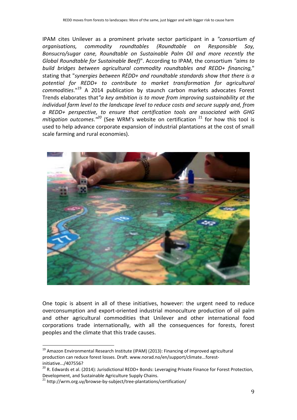IPAM cites Unilever as a prominent private sector participant in a *"consortium of organisations, commodity roundtables (Roundtable on Responsible Soy, Bonsucro/sugar cane, Roundtable on Sustainable Palm Oil and more recently the Global Roundtable for Sustainable Beef)*". According to IPAM, the consortium *"aims to build bridges between agricultural commodity roundtables and REDD+ financing,*" stating that "*synergies between REDD+ and roundtable standards show that there is a potential for REDD+ to contribute to market transformation for agricultural commodities*."19 A 2014 publication by staunch carbon markets advocates Forest Trends elaborates that*"a key ambition is to move from improving sustainability at the individual farm level to the landscape level to reduce costs and secure supply and, from a REDD+ perspective, to ensure that certification tools are associated with GHG mitigation outcomes*.*" <sup>20</sup>* (See WRM's website on certification <sup>21</sup> for how this tool is used to help advance corporate expansion of industrial plantations at the cost of small scale farming and rural economies).



One topic is absent in all of these initiatives, however: the urgent need to reduce overconsumption and export‐oriented industrial monoculture production of oil palm and other agricultural commodities that Unilever and other international food corporations trade internationally, with all the consequences for forests, forest peoples and the climate that this trade causes.

<sup>&</sup>lt;sup>19</sup> Amazon Environmental Research Institute (IPAM) (2013): Financing of improved agricultural production can reduce forest losses. Draft. www.norad.no/en/support/climate...forest‐ initiative.../407556?

<sup>&</sup>lt;sup>20</sup> R. Edwards et al. (2014): Jurisdictional REDD+ Bonds: Leveraging Private Finance for Forest Protection, Development, and Sustainable Agriculture Supply Chains.<br><sup>21</sup> http://wrm.org.uy/browse-by-subject/tree-plantations/certification/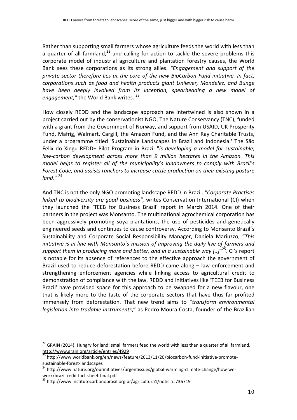Rather than supporting small farmers whose agriculture feeds the world with less than a quarter of all farmland, $^{22}$  and calling for action to tackle the severe problems this corporate model of industrial agriculture and plantation forestry causes, the World Bank sees these corporations as its strong allies. *"Engagement and support of the private sector therefore lies at the core of the new BioCarbon Fund initiative. In fact, corporations such as food and health products giant Unilever, Mondelez, and Bunge have been deeply involved from its inception, spearheading a new model of* engagement," the World Bank writes. <sup>23</sup>

How closely REDD and the landscape approach are intertwined is also shown in a project carried out by the conservationist NGO, The Nature Conservancy (TNC), funded with a grant from the Government of Norway, and support from USAID, UK Prosperity Fund, Mafrig, Walmart, Cargill, the Amazon Fund, and the Ann Ray Charitable Trusts, under a programme titled 'Sustainable Landscapes in Brazil and Indonesia.' The São Félix do Xingu REDD+ Pilot Program in Brazil "*is developing a model for sustainable, low‐carbon development across more than 9 million hectares in the Amazon. This model helps to register all of the municipality's landowners to comply with Brazil's Forest Code, and assists ranchers to increase cattle production on their existing pasture land*." <sup>24</sup>

And TNC is not the only NGO promoting landscape REDD in Brazil. *"Corporate Practises linked to biodiversity are good business",* writes Conservation International (CI) when they launched the 'TEEB for Business Brazil' report in March 2014. One of their partners in the project was Monsanto. The multinational agrochemical corporation has been aggressively promoting soya plantations, the use of pesticides and genetically engineered seeds and continues to cause controversy. According to Monsanto Brazil´s Sustainability and Corporate Social Responsibility Manager, Daniela Mariuzzo, "*This initiative is in line with Monsanto´s mission of improving the daily live of farmers and support them in producing more and better, and in a sustainable way [..]*" 25. CI's report is notable for its absence of references to the effective approach the government of Brazil used to reduce deforestation before REDD came along – law enforcement and strengthening enforcement agencies while linking access to agricultural credit to demonstration of compliance with the law. REDD and initiatives like 'TEEB for Business Brazil' have provided space for this approach to be swapped for a new flavour, one that is likely more to the taste of the corporate sectors that have thus far profited immensely from deforestation. That new trend aims to "*transform environmental legislation into tradable instruments*," as Pedro Moura Costa, founder of the Brazilian

<sup>&</sup>lt;sup>22</sup> GRAIN (2014): Hungry for land: small farmers feed the world with less than a quarter of all farmland. http://www.grain.org/article/entries/4929

<sup>&</sup>lt;sup>23</sup> http://www.worldbank.org/en/news/feature/2013/11/20/biocarbon-fund-initiative-promotesustainable‐forest‐landscapes<br><sup>24</sup> http://www.nature.org/ourinitiatives/urgentissues/global‐warming‐climate‐change/how‐we‐

work/brazil-redd-fact-sheet-final.pdf<br><sup>25</sup> http://www.institutocarbonobrasil.org.br/agricultura1/noticia=736719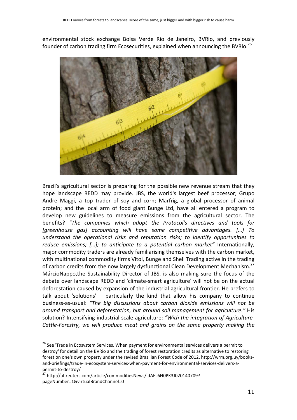environmental stock exchange Bolsa Verde Rio de Janeiro, BVRio, and previously founder of carbon trading firm Ecosecurities, explained when announcing the BVRio.<sup>26</sup>



Brazil's agricultural sector is preparing for the possible new revenue stream that they hope landscape REDD may provide. JBS, the world's largest beef processor; Grupo Andre Maggi, a top trader of soy and corn; Marfrig, a global processor of animal protein; and the local arm of food giant Bunge Ltd, have all entered a program to develop new guidelines to measure emissions from the agricultural sector. The benefits? *"The companies which adopt the Protocol's directives and tools for [greenhouse gas] accounting will have some competitive advantages. […] To understand the operational risks and reputation risks; to identify opportunities to reduce emissions; […]; to anticipate to a potential carbon market"* Internationally, major commodity traders are already familiarising themselves with the carbon market, with multinational commodity firms Vitol, Bunge and Shell Trading active in the trading of carbon credits from the now largely dysfunctional Clean Development Mechanism.<sup>27</sup> MárcioNappo,the Sustainability Director of JBS, is also making sure the focus of the debate over landscape REDD and 'climate‐smart agriculture' will not be on the actual deforestation caused by expansion of the industrial agricultural frontier. He prefers to talk about 'solutions' – particularly the kind that allow his company to continue business‐as‐usual: *"The big discussions about carbon dioxide emissions will not be around transport and deforestation, but around soil management for agriculture."* His solution? Intensifying industrial scale agriculture: *"With the integration of Agriculture‐ Cattle‐Forestry, we will produce meat and grains on the same property making the*

<sup>&</sup>lt;sup>26</sup> See 'Trade in Ecosystem Services. When payment for environmental services delivers a permit to destroy' for detail on the BVRio and the trading of forest restoration credits as alternative to restoring forest on one's own property under the revised Brazilian Forest Code of 2012. http://wrm.org.uy/books‐ and‐briefings/trade‐in‐ecosystem‐services‐when‐payment‐for‐environmental‐services‐delivers‐a‐

permit-to-destroy/<br><sup>27</sup> http://af.reuters.com/article/commoditiesNews/idAFL6N0PK3J020140709? pageNumber=1&virtualBrandChannel=0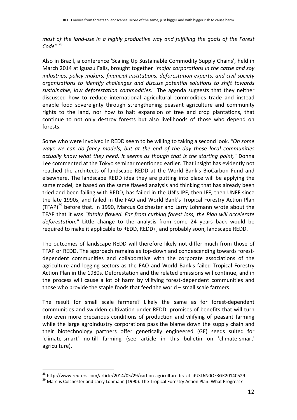*most of the land‐use in a highly productive way and fulfilling the goals of the Forest Code"* <sup>28</sup>

Also in Brazil, a conference 'Scaling Up Sustainable Commodity Supply Chains', held in March 2014 at Iguazu Falls, brought together "*major corporations in the cattle and soy industries, policy makers, financial institutions, deforestation experts, and civil society organizations to identify challenges and discuss potential solutions to shift towards sustainable, low deforestation commodities*." The agenda suggests that they neither discussed how to reduce international agricultural commodities trade and instead enable food sovereignty through strengthening peasant agriculture and community rights to the land, nor how to halt expansion of tree and crop plantations, that continue to not only destroy forests but also livelihoods of those who depend on forests.

Some who were involved in REDD seem to be willing to taking a second look. *"On some ways we can do fancy models, but at the end of the day these local communities actually know what they need. It seems as though that is the starting point,"* Donna Lee commented at the Tokyo seminar mentioned earlier*.* That insight has evidently not reached the architects of landscape REDD at the World Bank's BioCarbon Fund and elsewhere. The landscape REDD idea they are putting into place will be applying the same model, be based on the same flawed analysis and thinking that has already been tried and been failing with REDD, has failed in the UN's IPF, then IFF, then UNFF since the late 1990s, and failed in the FAO and World Bank's Tropical Forestry Action Plan (TFAP) $^{29}$  before that. In 1990, Marcus Colchester and Larry Lohmann wrote about the TFAP that it was *"fatally flawed. Far from curbing forest loss, the Plan will accelerate deforestation."* Little change to the analysis from some 24 years back would be required to make it applicable to REDD, REDD+, and probably soon, landscape REDD.

The outcomes of landscape REDD will therefore likely not differ much from those of TFAP or REDD. The approach remains as top‐down and condescending towards forest‐ dependent communities and collaborative with the corporate associations of the agriculture and logging sectors as the FAO and World Bank's failed Tropical Forestry Action Plan in the 1980s. Deforestation and the related emissions will continue, and in the process will cause a lot of harm by vilifying forest-dependent communities and those who provide the staple foods that feed the world – small scale farmers.

The result for small scale farmers? Likely the same as for forest-dependent communities and swidden cultivation under REDD: promises of benefits that will turn into even more precarious conditions of production and vilifying of peasant farming while the large agroindustry corporations pass the blame down the supply chain and their biotechnology partners offer genetically engineered (GE) seeds suited for 'climate‐smart' no‐till farming (see article in this bulletin on 'climate‐smart' agriculture).

 <sup>28</sup> http://www.reuters.com/article/2014/05/29/carbon-agriculture-brazil-idUSL6N0OF3GK20140529<br><sup>29</sup> Marcus Colchester and Larry Lohmann (1990): The Tropical Forestry Action Plan: What Progress?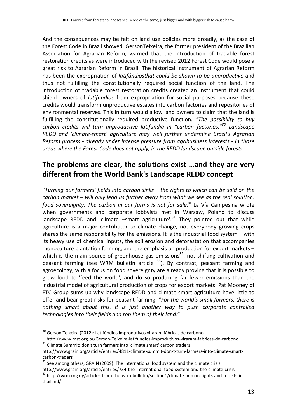And the consequences may be felt on land use policies more broadly, as the case of the Forest Code in Brazil showed. GersonTeixeira, the former president of the Brazilian Association for Agrarian Reform, warned that the introduction of tradable forest restoration credits as were introduced with the revised 2012 Forest Code would pose a great risk to Agrarian Reform in Brazil. The historical instrument of Agrarian Reform has been the expropriation of *latifúndiosthat could be shown to be unproductive* and thus not fulfilling the constitutionally required social function of the land. The introduction of tradable forest restoration credits created an instrument that could shield owners of *latifúndios* from expropriation for social purposes because these credits would transform unproductive estates into carbon factories and repositories of environmental reserves. This in turn would allow land owners to claim that the land is fulfilling the constitutionally required productive function*. "The possibility to buy carbon credits will turn unproductive latifundia in "carbon factories."<sup>30</sup> Landscape REDD and 'climate‐smart' agriculture may well further undermine Brazil's Agrarian Reform process ‐ already under intense pressure from agribusiness interests ‐ in those areas where the Forest Code does not apply, in the REDD landscape outside forests.*

## **The problems are clear, the solutions exist …and they are very different from the World Bank's Landscape REDD concept**

"*Turning our farmers' fields into carbon sinks – the rights to which can be sold on the carbon market – will only lead us further away from what we see as the real solution: food sovereignty. The carbon in our farms is not for sale!*" La Vía Campesina wrote when governments and corporate lobbyists met in Warsaw, Poland to discuss landscape REDD and 'climate  $-$ smart agriculture'.<sup>31</sup> They pointed out that while agriculture is a major contributor to climate change, not everybody growing crops shares the same responsibility for the emissions. It is the industrial food system – with its heavy use of chemical inputs, the soil erosion and deforestation that accompanies monoculture plantation farming, and the emphasis on production for export markets – which is the main source of greenhouse gas emissions<sup>32</sup>, not shifting cultivation and peasant farming (see WRM bulletin article  $^{33}$ ). By contrast, peasant farming and agroecology, with a focus on food sovereignty are already proving that it is possible to grow food to 'feed the world', and do so producing far fewer emissions than the industrial model of agricultural production of crops for export markets. Pat Mooney of ETC Group sums up why landscape REDD and climate‐smart agriculture have little to offer and bear great risks for peasant farming: "*For the world's small farmers, there is nothing smart about this. It is just another way to push corporate controlled technologies into their fields and rob them of their land*."

<sup>&</sup>lt;sup>30</sup> Gerson Teixeira (2012): Latifúndios improdutivos viraram fábricas de carbono. http://www.mst.org.br/Gerson-Teixeira-latifundios-improdutivos-viraram-fabricas-de-carbono <sup>31</sup> Climate Summit: don't turn farmers into 'climate smart' carbon traders!

http://www.grain.org/article/entries/4811‐climate‐summit‐don‐t‐turn‐farmers‐into‐climate‐smart‐ carbon-traders<br> $32$  See among others, GRAIN (2009): The international food system and the climate crisis.

http://www.grain.org/article/entries/734‐the‐international‐food‐system‐and‐the‐climate‐crisis<br><sup>33</sup> http://wrm.org.uy/articles‐from‐the‐wrm‐bulletin/section1/climate‐human‐rights‐and‐forests‐in‐ thailand/